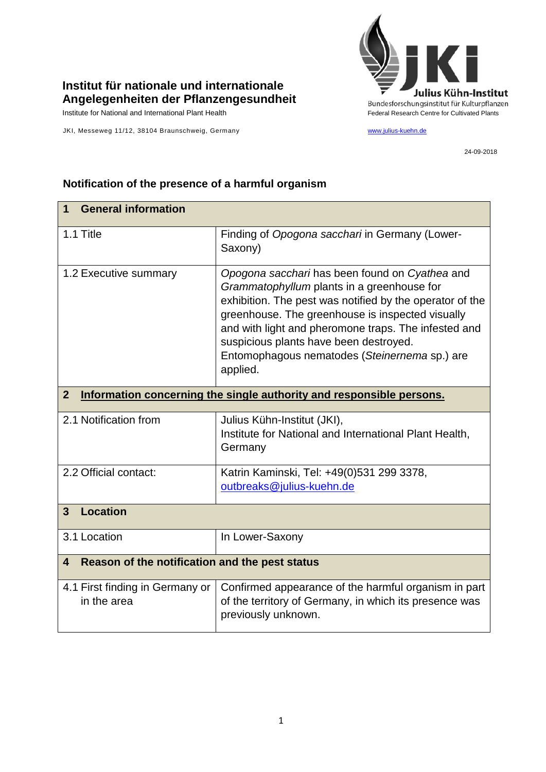

## **Institut für nationale und internationale Angelegenheiten der Pflanzengesundheit**

JKI, Messeweg 11/12, 38104 Braunschweig, Germany [www.julius-kuehn.de](http://www.julius-kuehn.de/)

24-09-2018

| <b>General information</b><br>1                                                        |                                                                                                                                                                                                                                                                                                                                                                             |  |
|----------------------------------------------------------------------------------------|-----------------------------------------------------------------------------------------------------------------------------------------------------------------------------------------------------------------------------------------------------------------------------------------------------------------------------------------------------------------------------|--|
| 1.1 Title                                                                              | Finding of Opogona sacchari in Germany (Lower-<br>Saxony)                                                                                                                                                                                                                                                                                                                   |  |
| 1.2 Executive summary                                                                  | Opogona sacchari has been found on Cyathea and<br>Grammatophyllum plants in a greenhouse for<br>exhibition. The pest was notified by the operator of the<br>greenhouse. The greenhouse is inspected visually<br>and with light and pheromone traps. The infested and<br>suspicious plants have been destroyed.<br>Entomophagous nematodes (Steinernema sp.) are<br>applied. |  |
| Information concerning the single authority and responsible persons.<br>$\overline{2}$ |                                                                                                                                                                                                                                                                                                                                                                             |  |
| 2.1 Notification from                                                                  | Julius Kühn-Institut (JKI),<br>Institute for National and International Plant Health,<br>Germany                                                                                                                                                                                                                                                                            |  |
| 2.2 Official contact:                                                                  | Katrin Kaminski, Tel: +49(0)531 299 3378,<br>outbreaks@julius-kuehn.de                                                                                                                                                                                                                                                                                                      |  |
| <b>Location</b><br>$\mathbf{3}$                                                        |                                                                                                                                                                                                                                                                                                                                                                             |  |
| 3.1 Location                                                                           | In Lower-Saxony                                                                                                                                                                                                                                                                                                                                                             |  |
| Reason of the notification and the pest status<br>$\overline{\mathbf{4}}$              |                                                                                                                                                                                                                                                                                                                                                                             |  |
| 4.1 First finding in Germany or<br>in the area                                         | Confirmed appearance of the harmful organism in part<br>of the territory of Germany, in which its presence was<br>previously unknown.                                                                                                                                                                                                                                       |  |

## **Notification of the presence of a harmful organism**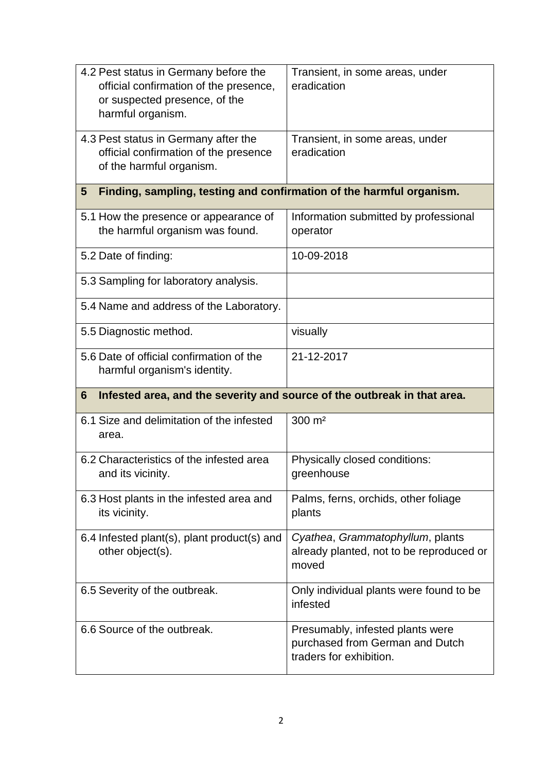| 4.2 Pest status in Germany before the<br>official confirmation of the presence,<br>or suspected presence, of the<br>harmful organism. | Transient, in some areas, under<br>eradication                                                 |  |
|---------------------------------------------------------------------------------------------------------------------------------------|------------------------------------------------------------------------------------------------|--|
| 4.3 Pest status in Germany after the<br>official confirmation of the presence<br>of the harmful organism.                             | Transient, in some areas, under<br>eradication                                                 |  |
| Finding, sampling, testing and confirmation of the harmful organism.<br>5                                                             |                                                                                                |  |
| 5.1 How the presence or appearance of<br>the harmful organism was found.                                                              | Information submitted by professional<br>operator                                              |  |
| 5.2 Date of finding:                                                                                                                  | 10-09-2018                                                                                     |  |
| 5.3 Sampling for laboratory analysis.                                                                                                 |                                                                                                |  |
| 5.4 Name and address of the Laboratory.                                                                                               |                                                                                                |  |
| 5.5 Diagnostic method.                                                                                                                | visually                                                                                       |  |
| 5.6 Date of official confirmation of the<br>harmful organism's identity.                                                              | 21-12-2017                                                                                     |  |
| Infested area, and the severity and source of the outbreak in that area.<br>6                                                         |                                                                                                |  |
| 6.1 Size and delimitation of the infested<br>area.                                                                                    | 300 m <sup>2</sup>                                                                             |  |
| 6.2 Characteristics of the infested area<br>and its vicinity.                                                                         | Physically closed conditions:<br>greenhouse                                                    |  |
| 6.3 Host plants in the infested area and<br>its vicinity.                                                                             | Palms, ferns, orchids, other foliage<br>plants                                                 |  |
| 6.4 Infested plant(s), plant product(s) and<br>other object(s).                                                                       | Cyathea, Grammatophyllum, plants<br>already planted, not to be reproduced or<br>moved          |  |
| 6.5 Severity of the outbreak.                                                                                                         | Only individual plants were found to be<br>infested                                            |  |
| 6.6 Source of the outbreak.                                                                                                           | Presumably, infested plants were<br>purchased from German and Dutch<br>traders for exhibition. |  |